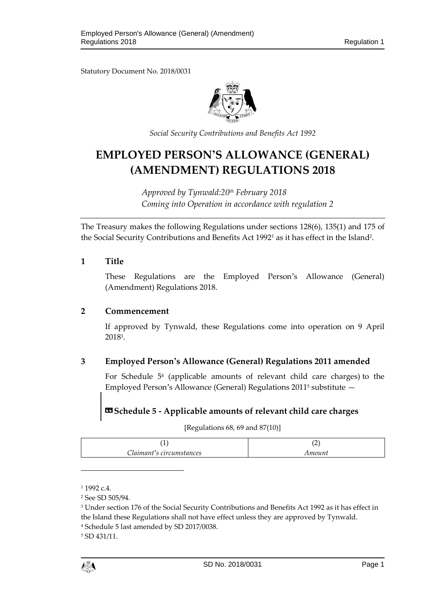Statutory Document No. 2018/0031



*Social Security Contributions and Benefits Act 1992*

# **EMPLOYED PERSON'S ALLOWANCE (GENERAL) (AMENDMENT) REGULATIONS 2018**

*Approved by Tynwald:20th February 2018 Coming into Operation in accordance with regulation 2*

The Treasury makes the following Regulations under sections 128(6), 135(1) and 175 of the Social Security Contributions and Benefits Act 1992<sup>1</sup> as it has effect in the Island<sup>2</sup>.

### **1 Title**

These Regulations are the Employed Person's Allowance (General) (Amendment) Regulations 2018.

#### **2 Commencement**

If approved by Tynwald, these Regulations come into operation on 9 April 2018<sup>3</sup> .

### **3 Employed Person's Allowance (General) Regulations 2011 amended**

For Schedule 5<sup>4</sup> (applicable amounts of relevant child care charges) to the Employed Person's Allowance (General) Regulations 2011<sup>5</sup> substitute —

## **«Schedule 5 - Applicable amounts of relevant child care charges**

[Regulations 68, 69 and 87(10)]

| Claimant's circumstances | Amount |
|--------------------------|--------|

<sup>1</sup> 1992 c.4.

l

<sup>5</sup> SD 431/11.

<sup>2</sup> See SD 505/94.

<sup>3</sup> Under section 176 of the Social Security Contributions and Benefits Act 1992 as it has effect in the Island these Regulations shall not have effect unless they are approved by Tynwald. <sup>4</sup> Schedule 5 last amended by SD 2017/0038.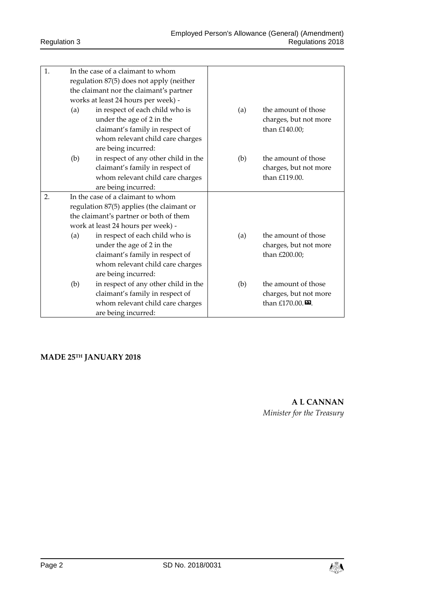| 1. |                                                                              | In the case of a claimant to whom         |     |                              |
|----|------------------------------------------------------------------------------|-------------------------------------------|-----|------------------------------|
|    |                                                                              | regulation 87(5) does not apply (neither  |     |                              |
|    |                                                                              | the claimant nor the claimant's partner   |     |                              |
|    | works at least 24 hours per week) -                                          |                                           |     |                              |
|    | (a)                                                                          | in respect of each child who is           | (a) | the amount of those          |
|    |                                                                              | under the age of 2 in the                 |     | charges, but not more        |
|    |                                                                              | claimant's family in respect of           |     | than £140.00;                |
|    |                                                                              | whom relevant child care charges          |     |                              |
|    |                                                                              | are being incurred:                       |     |                              |
|    | (b)                                                                          | in respect of any other child in the      | (b) | the amount of those          |
|    |                                                                              | claimant's family in respect of           |     | charges, but not more        |
|    |                                                                              | whom relevant child care charges          |     | than £119.00.                |
|    |                                                                              | are being incurred:                       |     |                              |
| 2. | In the case of a claimant to whom                                            |                                           |     |                              |
|    |                                                                              | regulation 87(5) applies (the claimant or |     |                              |
|    | the claimant's partner or both of them<br>work at least 24 hours per week) - |                                           |     |                              |
|    |                                                                              |                                           |     |                              |
|    | (a)                                                                          | in respect of each child who is           | (a) | the amount of those          |
|    |                                                                              | under the age of 2 in the                 |     | charges, but not more        |
|    |                                                                              | claimant's family in respect of           |     | than £200.00;                |
|    |                                                                              | whom relevant child care charges          |     |                              |
|    |                                                                              | are being incurred:                       |     |                              |
|    | (b)                                                                          | in respect of any other child in the      | (b) | the amount of those          |
|    |                                                                              | claimant's family in respect of           |     | charges, but not more        |
|    |                                                                              | whom relevant child care charges          |     | than £170.00. $\blacksquare$ |
|    |                                                                              | are being incurred:                       |     |                              |

## **MADE 25TH JANUARY 2018**

**A L CANNAN** *Minister for the Treasury*